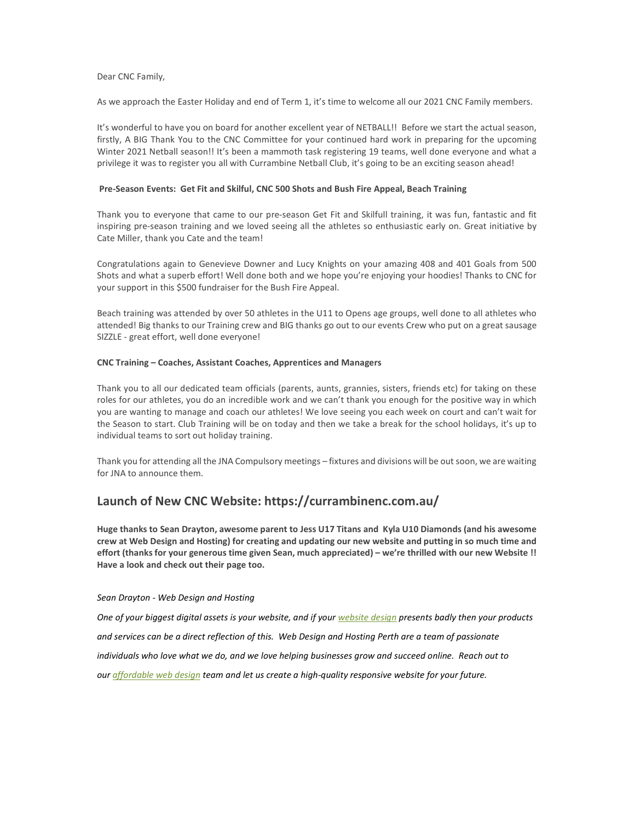### Dear CNC Family,

As we approach the Easter Holiday and end of Term 1, it's time to welcome all our 2021 CNC Family members.

It's wonderful to have you on board for another excellent year of NETBALL!! Before we start the actual season, firstly, A BIG Thank You to the CNC Committee for your continued hard work in preparing for the upcoming Winter 2021 Netball season!! It's been a mammoth task registering 19 teams, well done everyone and what a privilege it was to register you all with Currambine Netball Club, it's going to be an exciting season ahead!

# Pre-Season Events: Get Fit and Skilful, CNC 500 Shots and Bush Fire Appeal, Beach Training

Thank you to everyone that came to our pre-season Get Fit and Skilfull training, it was fun, fantastic and fit inspiring pre-season training and we loved seeing all the athletes so enthusiastic early on. Great initiative by Cate Miller, thank you Cate and the team!

Congratulations again to Genevieve Downer and Lucy Knights on your amazing 408 and 401 Goals from 500 Shots and what a superb effort! Well done both and we hope you're enjoying your hoodies! Thanks to CNC for your support in this \$500 fundraiser for the Bush Fire Appeal.

Beach training was attended by over 50 athletes in the U11 to Opens age groups, well done to all athletes who attended! Big thanks to our Training crew and BIG thanks go out to our events Crew who put on a great sausage SIZZLE - great effort, well done everyone!

#### CNC Training – Coaches, Assistant Coaches, Apprentices and Managers

Thank you to all our dedicated team officials (parents, aunts, grannies, sisters, friends etc) for taking on these roles for our athletes, you do an incredible work and we can't thank you enough for the positive way in which you are wanting to manage and coach our athletes! We love seeing you each week on court and can't wait for the Season to start. Club Training will be on today and then we take a break for the school holidays, it's up to individual teams to sort out holiday training.

Thank you for attending all the JNA Compulsory meetings – fixtures and divisions will be out soon, we are waiting for JNA to announce them.

# Launch of New CNC Website: https://currambinenc.com.au/

Huge thanks to Sean Drayton, awesome parent to Jess U17 Titans and Kyla U10 Diamonds (and his awesome crew at Web Design and Hosting) for creating and updating our new website and putting in so much time and effort (thanks for your generous time given Sean, much appreciated) – we're thrilled with our new Website !! Have a look and check out their page too.

#### Sean Drayton - Web Design and Hosting

One of your biggest digital assets is your website, and if your website design presents badly then your products and services can be a direct reflection of this. Web Design and Hosting Perth are a team of passionate individuals who love what we do, and we love helping businesses grow and succeed online. Reach out to our affordable web design team and let us create a high-quality responsive website for your future.